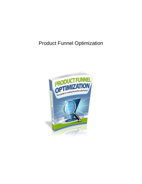# Product Funnel Optimization

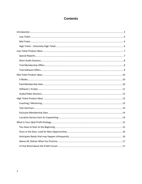# **Contents**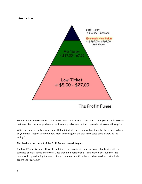#### <span id="page-2-0"></span>**Introduction**



The Profit Funnel

Nothing warms the cockles of a salesperson more than getting a new client. Often you are able to secure that new client because you have a quality core good or service that is provided at a competitive price.

While you may not make a great deal off that initial offering, there will no doubt be the chance to build on your initial rapport with your new client and engage in the task many sales people know as "upselling."

#### **That is where the concept of the Profit Tunnel comes into play**.

The Profit Tunnel is your pathway to building a relationship with your customer that begins with the purchase of initial goods or services. Once that initial relationship is established, you build on that relationship by evaluating the needs of your client and identify other goods or services that will also benefit your customer.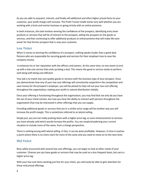As you are able to acquaint, interest, and finally sell additional and often higher priced items to your customer, your profit margin will increase. The Profit Tunnel model works very well whether you are working with a brick and mortar business or going strictly with an online presence.

In both instances, the task involves winning the confidence of the prospect, identifying entry level products or services that will be of interest to the prospect, selling the prospect on the goods or services, and then continuing to offer additional products or enhancements that will make life even easier for that former prospect that is now your customer.

## <span id="page-3-0"></span>**Low Ticket**

When it comes to winning the confidence of a prospect, nothing speaks louder than a good deal. Persons who are responsible for securing goods and services for their employer love to save the company money.

It enhances his or her reputation with the officers and owners. At the same time, no one wants to end up with a low cost service that ends up being a dud. This means the good or service needs to perform well along with being cost efficient.

Your job is to match low cost quality goods or services with the business type of your prospect. Once you demonstrate how one of your low cost offerings will consistently outperform the competition and save money for the prospect's employer, you will be poised to help roll out your low cost offering throughout the organization, making your profit in volume distribution initially.

Once your offering is functioning throughout the organization, you may find that not only do you have the ear of your initial contact, but now you have the ability to interact with persons throughout the organization that may be interested in other offerings that you can supply.

Providing additional goods or services that are in a similar price range will be another way you will increase the profit margin. This is sometimes referred to as lateral selling.

Simply put, you are not really pushing items with a higher price tag, or even enhancements to services you have already sold which would increase the profits. You are simply broadening your current situation to include more of the same, from a charge perspective.

There is nothing wrong with lateral selling. In fact, it can be quite profitable. However, in time it reaches a point where there is no more room for more of the same and you need to move on to the next level.

## <span id="page-3-1"></span>**Mid Ticket**

Now safely ensconced with several low cost offerings, you can begin to look at other needs of your customer. Chances are you have goods or services that may be used on a less frequent basis, but carry a higher price tag.

With your low cost items working just fine for your client, you will easily be able to gain attention for these mid priced offerings.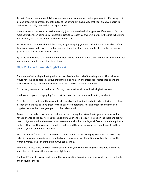As part of your presentation, it is important to demonstrate not only what you have to offer today, but also be prepared to present the attributes of the offering in such a way that your client can begin to brainstorm possibly uses within the organization.

You may want to have one or two ideas ready, just to prime the thinking process, if necessary. But the more your client can come up with possible uses, the greater his ownership of using the mid ticket item will become, and the closer you will be to another sale.

Be prepared to have to wait until the timing is right to spring your mid ticket item on your client. If the item is only going to be used a few times a year, the interest level may not be there until the time is growing near for the next relevant event.

By all means introduce the item but if your client wants to put off the discussion until closer to time, lock in a date and time to renew the discussions.

## <span id="page-4-0"></span>**High Ticket – Extremely High Ticket**

The dream of selling high ticket good or services is often the goal of the salesperson. After all, who would not love to be able to sell five thousand dollar items in one afternoon, rather than spend the entire week selling hundred dollar items in order to make the same commission?

Of course, you want to be on the alert for any chance to introduce and sell a high ticket item.

You have a couple of things going for you at this point in your relationship with your client.

First, there is the matter of the proven track record of the low ticket and mid ticket offerings they have already tried and found to be great for their business operations. Nothing breeds confidence in a supplier the way that an ongoing record of excellence will.

Second, you have demonstrated a continual desire to bring their attention to goods or services that have relevance to the business. You are not laying your entire product line out on the table and asking them to figure out what they need. You are someone who does the legwork first and then brings items to their attention. That you care enough to understand their business and do some legwork on their behalf says a lot about your integrity.

What his means for you is that when you call your contact about arranging a demonstration of a high ticket item, you are already more than halfway to making a sale. The attitude will not be "prove this is worth my time," but "let's find out how we can use this."

When you go into a live or virtual demonstration with your client working with that type of mindset, your chances of closing the sale are very high indeed.

The Profit Tunnel helps you understand that your relationship with your client works on several levels and in several phases.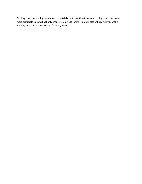Building upon the sterling reputation you establish with low ticket sales and rolling it into the sale of more profitable sales will not only ensure you a great commission, but also will provide you with a working relationship that will last for many years.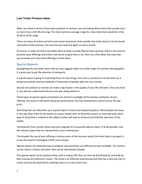#### <span id="page-6-0"></span>**Low Ticket Product Ideas**

When you think in terms of low ticket products or services, you are talking about items that usually carry no more than a \$27.00 price tag. The most common average range for a low ticket item would be in the \$5.00 to \$9.95 range.

There are many of online and brick and mortar businesses that consider low ticket items to be the bread and butter of the business, the way that you keep the lights on every month.

Of course, in order for those low ticket items to keep a steady flow of basic revenue, there is the need to promote your offerings and entice new clients to give them a try. Here are a few ideas that may help you promote your low ticket offerings to fresh faces.

## <span id="page-6-1"></span>**Special Reports**

Spotlighting the low ticket items that are your biggest sellers to a wide range of customer demographics is a great way to get the attention of prospects.

A special report is going to essentially focus on two things: first, this is a product or service that has is being successfully used by hundreds of thousands of people right this very minute.

Second, this product or service can make a big impact in the quality of your life and work. Once you have it, you will not understand how you ever got along without it.

These types of special report promotions are meant to spotlight all the positive attributes of your offering. You want to talk about the great performance, the low maintenance, and of course the low price.

One thing that can help dress up a special report is charts and relevant graphics. Most people are visual in the way they relate to the world, so using a simple chart to illustrate a point, or inserting some other type of visual that is related to the subject matter will help to enhance and hold the attention of the reader.

Testimonials from current clients also are a big part of a successful special report. If at all possible, vary the industry types that are represented in your testimonials.

The broader the use of your offering in various parts of the business world, the more likely a prospect is to see the need to investigate a little more closely.

Special reports are relatively easy to produce and extremely cost effective to have available. The content can be used in a direct mail piece that can be reproduced cheaply.

The special report can be posted online, with a unique URL that can then be distributed far and wide by both manual and electronic means. The result is an effective promotional tool that has a very lost cost to create and has the potential to yield big returns in a very short time.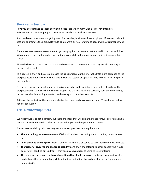## <span id="page-7-0"></span>**Short Audio Sessions**

Have you ever listened to those short audio clips that are on many web sites? They often are informative and can spur people to look more closely at a product or service.

Short audio sessions are not anything new. For decades, businesses have employed fifteen-second audio sessions to promote their products while callers were on hold, waiting to speak with a customer service rep.

Theater owners have employed them to get in a plug for concessions that are sold in the theater lobby. Who among us have not heard a short audio session while in the grocery store or in a discount retail store?

Given the history of the success of short audio sessions, it is no wonder that they are also working on the Internet as well.

To a degree, a short audio session makes the sales process via the Internet a little more personal, as the prospect hears a human voice. That alone makes the session an appealing way to reach a certain part of the populace.

Of course, a successful short audio session is going to be to the point and informative. It will give the prospect enough to ensure he or she will progress to the next level and seriously consider the offering, rather than simply scanning some text and moving on to another web site.

Settle on the subject for the session, make is crisp, clear, and easy to understand. Then shut up before you get too wordy.

## <span id="page-7-1"></span>**Trial Membership Offers**

Everybody wants to get a bargain, but there are those that will sit on the fence forever before making a decision. A trial membership offer can be just what you need to get them to commit.

There are several things that are very attractive to a prospect. Among them are:

- **There is no long-term commitment**. If I don't like what I see during the trial period, I simply move on.
- **I don't have to pay full price**. Most trial offers will be at a discount, so very little revenue is invested.
- **The trial offer gives me the chance to test drive** and show the offering to other people who would be using it. I can find out up front if they see any advantages to using this new offering
- **This gives me the chance to think of questions that should be answered before a commitment is made**. I may think of something while in the trial period that I would not think of during a simple demonstration.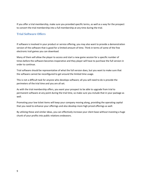If you offer a trial membership, make sure you provided specific terms, as well as a way for the prospect to convert the trial membership into a full membership at any time during the trial.

#### <span id="page-8-0"></span>**Trial Software Offers**

If software is involved in your product or service offering, you may also want to provide a demonstration version of the software that is good for a limited amount of time. Think in terms of some of the free electronic trail games you can download.

Many of them will allow the player to access and start a new game session for a specific number of times before the software becomes inoperative and they player will have to purchase the full version in order to continue.

Trial software should be representative of what the full version does, but you want to make sure that the software cannot be reconfigured to get around the limited time usage.

This is not a difficult task for anyone who develops software; all you will need to do is provide the perimeters of the trial time and you are all set.

As with the trial membership offers, you want your prospect to be able to upgrade from trial to permanent software at any point during the trial time, so make sure you include that in your package as well.

Promoting your low ticket items will keep your company moving along, providing the operating capital that you need to enhance your offerings and also develop more high priced offerings as well.

By utilizing these and similar ideas, you can effectively increase your client base without investing a huge chunk of your profits into public relations endeavors.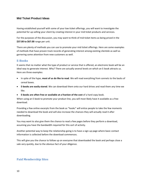#### <span id="page-9-0"></span>**Mid Ticket Product Ideas**

Having established yourself with some of your low ticket offerings, you will want to investigate the potential for up-selling your client by creating interest in your mid ticket products and services.

For the purposes of the discussion, you may want to think of mid ticket items as being priced in the **\$37.00 to \$67.00** range per unit.

There are plenty of methods you can use to promote your mid ticket offerings. Here are some examples of methods that have proven track records of generating interest among existing clientele as well as garnering some attention from new customers as well.

#### <span id="page-9-1"></span>**E-Books**

It seems that no matter what the type of product or service that is offered, an electronic book will be an ideal way to generate interest. Why? There are actually several levels on which an E-book attracts us. Here are three examples:

- In spite of the hype, **most of us do like to read**. We will read everything from sonnets to the backs of cereal boxes.
- **E-books are easily stored**. We can download them onto our hard drives and read them any time we like.
- **E-books are often free or available at a fraction of the cost** of a hard copy book.

When using an E-book to promote your product line, you will most likely have it available as a free download.

Providing a few online excerpts from the book as "hooks" will entice people to take the few moments needed to download the book and will also increase the chances they will actually read it after downloading.

You may want to also give them the chance to read a few pages before they perform a download, assuming you have the bandwidth required for this sort of activity.

Another potential way to keep the relationship going is to have a sign-up page where basic contact information is collected before the download commences.

<span id="page-9-2"></span>This will give you the chance to follow up on everyone that downloaded the book and perhaps close a sale very quickly, due to the obvious fact of your diligence.

## **Paid Membership Sites**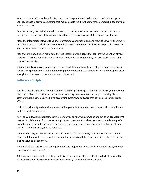When you run a paid membership site, one of the things you must do in order to maintain and grow your client base is provide something that makes people feel like that monthly membership fee they pay is worth the cost.

As an example, you may include a short weekly or monthly newsletter as one of the perks of being a member of the site. Don't fill it with mindless fluff that circulates around the Internet constantly.

Make the information relevant to your customers, to your product line and most of all worth the time to read about. Use it to talk about upcoming enhancements to favorite products, do a spotlight on one of your customers and the work he or she does.

Along with the newsletter, make sure there is access to online pages that capture the attention of your customers. Perhaps you can arrange for them to download a coupon they can use locally as part of a promotion campaign.

You may supply a message board where clients can talk about how they employ the goods or services you sell. The point is to make the membership perks something that people will want to engage in often enough that they want to maintain access to those perks.

## <span id="page-10-0"></span>**Software / Scripts**

Software that fills a need with your customers can be a great thing. Depending on where you draw your majority of clients from, this can be just about anything from software that helps to catalog plants to software that helps to design a home accounting systems, to software that can be used to track sales efforts.

In short, you identify and anticipate needs within your client base and then come up with the software that will meet those needs.

Now, do you develop proprietary software or do you partner with someone and act as an agent for that partner? It all depends. If you can entering into an agreement that allows you to make a decent profit from the sale of the software and still offer it to your clientele at a price that is better than what they can get it for themselves, the answer is yes.

If you can barely get a better deal than standard retail, forget it and try to develop your own software products. If the profit is not there for you, and the savings is not there for your clients, then the project is of no value to either of you.

Keep in mind the software can cover just about any subject you want. For development ideas, why not query your current clients?

Ask them what type of software they would like to see, and what types of bells and whistles would be attractive to them. You may be surprised at how easily you can fulfill those wishes.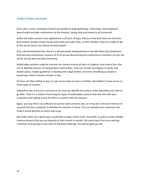## <span id="page-11-0"></span>**Audio/Video Sessions**

Once upon a time, companies trained new people at large gatherings. These days, new employees attend audio and web conferences via the Internet, saving time and money to all concerned.

Audio and video sessions have applications in all sorts of ways. Did you know that there are churches that conduct Sunday School classes with audio and video links, so that members who are unable to get to the actual church can attend and participate?

One a denominational level, there is a denomination headquartered in the Mid West that broadcasts both worship and business sessions of its bi-annual denominational conference to members all over the world, via live feed and data streaming.

Audio/video sessions using the Internet can revolve around all sorts of subjects, from how to fix a flat tire to detailed sessions on fixing broken relationships. They can include travelogues to exotic and distant places, helpful guidelines in dealing with a legal matter, and even something as simple as preparing a meal in twenty minutes or less.

Persons are often willing to pay on a per access basis or even a monthly subscription to have access to these types of sessions.

Selling this sort of service is not hard at all, once you identify the sectors of the population you wish to go after. Then it is a matter of securing the types of audio/video sessions that will click with your customers and making it easy for them to connect with the sessions.

Again, you may find it cost effective to partner with someone else, or it may be in the best interests of yourself and your customers to develop the sessions in house. You can evaluate your resources and make a sound decision on which way to go.

Mid ticket items are a great way to grab both a larger chunk of per unit profit, as well as create reliable revenue streams that you can depend on from month to month. Get some input from your existing customers and develop a nice suite of mid ticket offerings. You will be glad you did.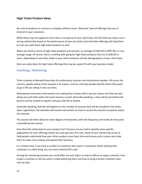#### <span id="page-12-0"></span>**High Ticket Product Ideas**

No suite of products or services is complete without some "diamond" level of offerings that are of interest to your customers.

While these may not appeal to more than a core group of your client base, the fact that you enjoy such a strong relationship based on the performance of your low ticket and mid ticket offerings will help them to trust you with these high ticket products as well.

When you think in terms of high ticket products and services, an average of \$297.00 to \$997.00 is a nice average range. Of course, there is nothing with going for high ticket products that are \$1,000.00 or more, depending on how they relate to your other products and the demographics of your client base.

Here are some ideas for high ticket offerings that may be a great fit with your business model.

## <span id="page-12-1"></span>**Coaching / Mentoring**

There is plenty of demand these days for professional coaches and motivational speaker. All across the country, people whose entire purpose is to inspire, instruct, and help people identify where they want to go in life are raking in very nice fees.

Motivational instructors and mentors are making their money with in person classes, but they are also doing very well with audio and visual sessions as well. Generally speaking, a class will be promoted and persons will be invited to register and pay a flat fee to attend.

Generally speaking, that fee will depend on the number of sessions that will be included in the series. Upon registration, the attendee will receive instructions on how to access the sessions via phone and/or the Internet.

The session will often allow for some degree of interaction, with the frequency and mode of interaction controlled by the mentor.

How does this relate back to your product line? Chances are you had to identify some specific applications for your offerings before you ever got your first sale. Some of your mentoring can be to help people understand how your other products save them time and money and in some cases help them to make more money and expand their business.

In a related note, if you have a number of customers who work in companies where dealing with customers is a daily thing, you can most certainly fill a void.

Among the mentoring sessions you could offer are such topics as how to defuse an angry customer, how to get a customer to tell you what is really bothering them and how to bring a former customer back into the fold.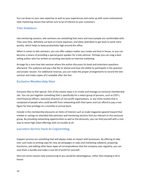You can draw on your own expertise as well as your experiences and come up with some motivational style mentoring classes that will be sure to be of interest to your customers.

#### <span id="page-13-0"></span>**Tele-Seminars**

Like mentoring sessions, tele-seminars are something that more and more people are comfortable with. They save time, definitely cut back on travel expenses, and allow attendees to get back to work more quickly, which helps to keep productivity high around the office.

When it comes to tele-seminars, you can offer subject matter you create and host in house, or you can become a means of providing a special guest speaker for a tele-seminar. Perhaps you can snag a best selling author who has written an exciting new book on Internet marketing.

Arrange for a one time tele-seminar where the author discusses his book and entertains questions afterward. The audience will pay a flat fee to attend and have the ability to participate in the question and answer session. For additional revenue, you can make the proper arrangements to record the teleseminar and make copies of it available after the fact.

## <span id="page-13-1"></span>**Exclusive Membership Sites**

Everyone likes to feel special. One of the easiest ways is to create and manage an exclusive membership site. You can put together something that is specifically for a select group of persons, such as CEO's, chief financial officers, executive directors of non-profit organizations, or any niche market that is composed of people who could benefit from networking with their peers and can afford to pay a nice figure for that privilege on a monthly or annual basis.

Include in the membership discounts on items of interest such as trade magazines geared toward that market or savings on attended tele-seminars and mentoring sessions that are relevant to this exclusive group. By providing networking opportunities as well as the discounts, you can find yourself with a nice way to move high ticket offerings with no trouble at all.

## <span id="page-13-2"></span>**Lucrative Service Such As Copywriting**

Support services are something that will always make an impact with businesses. By offering to take over such tasks as writing copy for new ad campaigns or sales and marketing collateral, preparing brochures, and editing other basic types of correspondence that the company uses regularly, you can save them a bundle and make a nice bit of profit for yourself.

Here are some reasons why outsourcing to you would be advantageous, rather than keeping it all in house: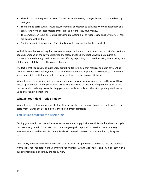- They do not have to pay your taxes. You are not an employee, so Payroll does not have to keep up with you.
- There are no perks such as insurance, retirement, or vacation to calculate. Working essentially as a consultant, none of these factors enter into the picture. They save money.
- The company can focus on its business without devoting a lot of resources to ancillary matters. You are dealing with all that.
- No time spent in development. They simply have to approve the finished product.

While it is true that consulting does not come cheap, it still ends up being much more cost effective than keeping someone on the payroll. Between the salary and the benefits that would be required by someone talented enough to do what you are offering to provide, you could be talking about saving tens of thousands of dollars over the course of a year.

The fact is that you can make quite a tidy profit by pitching a deal that requires an opt in payment up front, with several smaller payments as each of the action items or projects are completed. This means some immediate profit for you, with the promise of more as the tasks are finished.

When it comes to providing high ticket offerings, knowing what your resources are and how well those match up with needs within your client base will help lead you to that type of high ticket products you can provide immediately, as well as help you prepare a laundry list of others that you hope to have set up and working in a short time.

## <span id="page-14-0"></span>**What Is Your Ideal Profit Strategy**

When it comes to developing your ideal profit strategy, there are several things you can learn from the basic Profit Funnel. Let's take a look at those elementary principles:

## <span id="page-14-1"></span>**You Have to Start at the Beginning**

Getting your foot in the door with a new customer is your top priority. We all know that they sales cycle can take a long time in some cases. But if you are going with a product or service that is relatively inexpensive and can be identified immediately with a need, then you can shorten than cycle a great deal.

Don't worry about making a huge profit off that first sale. Just get the sale and make sure the product works right. Your reputation and your future opportunities with that client rest on providing them with a quality product as a price they are happy with.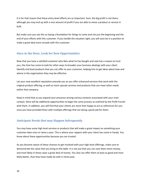It is for that reason that these entry-level efforts are so important. Sure, the big profit is not there, although you may end up with a nice amount of profit if you are able to move a product or service in bulk.

But make sure you see this as laying a foundation for things to come and not just the beginning and the end of your efforts with this customer. If you handle the situation right, you will soon be in a position to make a great deal more inroads with this customer.

## <span id="page-15-0"></span>**Once in the Door, Look for New Opportunities**

Now that you have a satisfied customer who likes what he has bought and now has a reason to trust you, the time has come to look for other ways to broaden your business dealings with your client. Identify mid level products that you can offer to your customer, helping him to get ideas about how and where in the organization they may be effective.

Let your now excellent reputation precede you as you offer enhanced services that work with the original product offering, as well as more upscale services and products that can meet other needs within that company.

Keep in mind that as you expand your presence among various contacts associated with your main contact, there will be additional opportunities to begin the same process as outlined by the Profit Funnel with them. In addition, you will find that your clients are more than happy to act as references for you once you have provided them with multiple offerings that are doing a great job for them.

## <span id="page-15-1"></span>**Anticipate Needs that may Happen Infrequently**

You may have some high level services or products that will make a great impact on something your customer does once or twice a year. This is where your rapport with your client has come in handy. You know about these opportunities because you are trusted.

As you become aware of these chances to get involved with your high level offerings, make sure to demonstrate the value that you bring to the table. It is not just that you can save them more money, and most likely in these cases a great deal of money. You also can offer them at least as good and most likely better, than they have made do with in times past.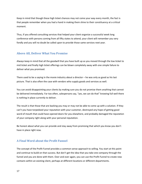Keep in mind that though these high ticket chances may not come your way every month, the fact is that people remember when you had a hand in making them shine to their constituency at a critical moment.

Thus, if you offered consulting services that helped your client organize a successful week long conference with persons coming from all fifty states to attend, your client will remember you very fondly and you will no doubt be called upon to provide those same services next year.

## <span id="page-16-0"></span>**Above All, Deliver What You Promise**

Always keep in mind that all the goodwill that you have built up as you moved through the low ticket to mid ticket and finally high ticket offerings can be blown completely away with one simple failure to deliver what you promised.

There used to be a saying in the movie industry about a director – he was only as good as his last picture. That is also often the case with vendors who supply goods and services as well.

You can avoid disappointing your clients by making sure you do not promise them anything that cannot be delivered immediately. Far too often, salespersons say, "yes, we can do that" knowing full well there is nothing in place currently to deliver.

The result is that those that are backing you may or may not be able to come up with a solution. If they can't you have torpedoed your reputation with your customer, destroyed any hope of getting good word of mouth that could have opened doors for you elsewhere, and probably damaged the reputation of your company right along with your personal reputation.

Be honest about what you can provide and stay away from promising that which you know you don't have in place right now.

## <span id="page-16-1"></span>**A Final Word about the Profit Funnel**

The concept of the Profit Funnel provides a common sense approach to selling. You start at this point and continue to build on that success. But don't get the idea that you take one company through the funnel and you are done with them. Over and over again, you can use the Profit Funnel to create new contacts within an existing client, perhaps at different locations or different departments.